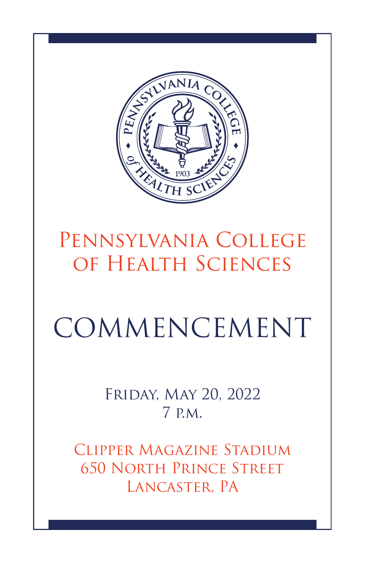

## Pennsylvania College of Health Sciences

# COMMENCEMENT

Friday, May 20, 2022 7 p.m.

Clipper Magazine Stadium 650 North Prince Street Lancaster, PA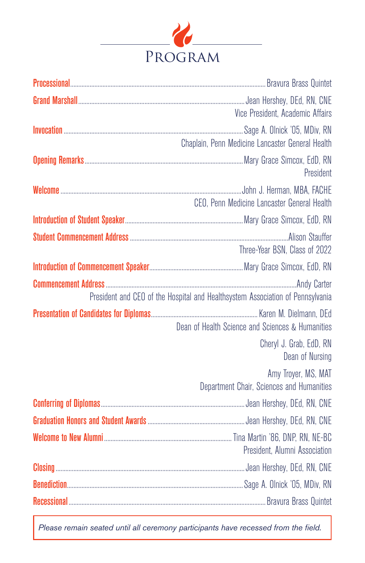

| Processional <b>Struct Brand Contract Contract Contract Contract Contract Contract Contract Contract Contract Contract Contract Contract Contract Contract Contract Contract Contract Oriental Contract Contract Contract Contra</b> |
|--------------------------------------------------------------------------------------------------------------------------------------------------------------------------------------------------------------------------------------|
| Vice President, Academic Affairs                                                                                                                                                                                                     |
| Chaplain, Penn Medicine Lancaster General Health                                                                                                                                                                                     |
| President                                                                                                                                                                                                                            |
| CEO, Penn Medicine Lancaster General Health                                                                                                                                                                                          |
|                                                                                                                                                                                                                                      |
| Three-Year BSN, Class of 2022                                                                                                                                                                                                        |
|                                                                                                                                                                                                                                      |
| President and CEO of the Hospital and Healthsystem Association of Pennsylvania                                                                                                                                                       |
| Dean of Health Science and Sciences & Humanities                                                                                                                                                                                     |
| Cheryl J. Grab, EdD, RN<br>Dean of Nursing                                                                                                                                                                                           |
| Amy Troyer, MS, MAT<br>Department Chair, Sciences and Humanities                                                                                                                                                                     |
|                                                                                                                                                                                                                                      |
|                                                                                                                                                                                                                                      |
| President, Alumni Association                                                                                                                                                                                                        |
|                                                                                                                                                                                                                                      |
|                                                                                                                                                                                                                                      |
|                                                                                                                                                                                                                                      |

Please remain seated until all ceremony participants have recessed from the field.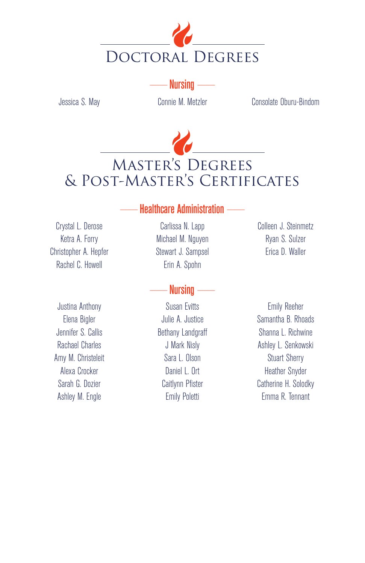

 $Nursinq -$ 

Jessica S. May Connie M. Metzler Consolate Oburu-Bindom



#### **Healthcare Administration --**

Crystal L. Derose Ketra A. Forry Christopher A. Hepfer Rachel C. Howell

Justina Anthony Elena Bigler Jennifer S. Callis Rachael Charles Amy M. Christeleit Alexa Crocker Sarah G. Dozier Ashley M. Engle

Carlissa N. Lapp Michael M. Nguyen Stewart J. Sampsel Erin A. Spohn

#### Nursing  $-$

Susan Evitts Julie A. Justice Bethany Landgraff J Mark Nisly Sara L. Olson Daniel L. Ort Caitlynn Pfister Emily Poletti

Colleen J. Steinmetz Ryan S. Sulzer Erica D. Waller

Emily Reeher Samantha B. Rhoads Shanna L. Richwine Ashley L. Senkowski Stuart Sherry Heather Snyder Catherine H. Solodky Emma R. Tennant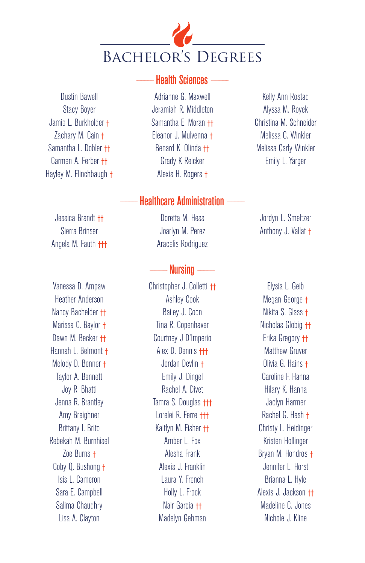

Dustin Bawell Stacy Boyer Jamie L. Burkholder † Zachary M. Cain † Samantha L. Dobler †† Carmen A. Ferber †† Hayley M. Flinchbaugh †

Jessica Brandt †† Sierra Brinser Angela M. Fauth †††

Vanessa D. Ampaw Heather Anderson Nancy Bachelder †† Marissa C. Baylor † Dawn M. Becker ++ Hannah L. Belmont † Melody D. Benner † Taylor A. Bennett Joy R. Bhatti Jenna R. Brantley Amy Breighner Brittany I. Brito Rebekah M. Burnhisel Zoe Burns † Coby Q. Bushong † Isis L. Cameron Sara E. Campbell Salima Chaudhry Lisa A. Clayton

## **Health Sciences**

Adrianne G. Maxwell Jeramiah R. Middleton Samantha E. Moran †† Eleanor J. Mulvenna † Benard K. Olinda †† Grady K Reicker Alexis H. Rogers †

## **Healthcare Administration**

Doretta M. Hess Joarlyn M. Perez Aracelis Rodriguez

#### $Nursin a -$

Christopher J. Colletti †† Ashley Cook Bailey J. Coon Tina R. Copenhaver Courtney J D'Imperio Alex D. Dennis ††† Jordan Devlin † Emily J. Dingel Rachel A. Divet Tamra S. Douglas **†††** Lorelei R. Ferre ††† Kaitlyn M. Fisher †† Amber L. Fox Alesha Frank Alexis J. Franklin Laura Y. French Holly L. Frock Nair Garcia †† Madelyn Gehman

Kelly Ann Rostad Alyssa M. Royek Christina M. Schneider Melissa C. Winkler Melissa Carly Winkler Emily L. Yarger

Jordyn L. Smeltzer Anthony J. Vallat †

Elysia L. Geib Megan George † Nikita S. Glass † Nicholas Globig †† Erika Gregory †† Matthew Gruver Olivia G. Hains † Caroline F. Hanna Hilary K. Hanna Jaclyn Harmer Rachel G. Hash † Christy L. Heidinger Kristen Hollinger Bryan M. Hondros † Jennifer L. Horst Brianna L. Hyle Alexis J. Jackson †† Madeline C. Jones Nichole J. Kline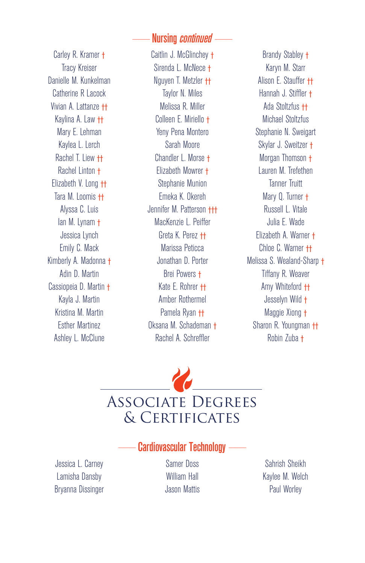#### Nursing *continued*

Carley R. Kramer † Tracy Kreiser Danielle M. Kunkelman Catherine R Lacock Vivian A. Lattanze †† Kaylina A. Law †† Mary E. Lehman Kaylea L. Lerch Rachel T. Liew †† Rachel Linton † Elizabeth V. Long †† Tara M. Loomis †† Alyssa C. Luis Ian M. Lynam † Jessica Lynch Emily C. Mack Kimberly A. Madonna † Adin D. Martin Cassiopeia D. Martin † Kayla J. Martin Kristina M. Martin Esther Martinez Ashley L. McClune

Caitlin J. McGlinchey † Sirenda L. McNece † Nguyen T. Metzler †† Taylor N. Miles Melissa R. Miller Colleen E. Miriello † Yeny Pena Montero Sarah Moore Chandler L. Morse † Elizabeth Mowrer † Stephanie Munion Emeka K. Okereh Jennifer M. Patterson ††† MacKenzie L. Peiffer Greta K. Perez †† Marissa Peticca Jonathan D. Porter Brei Powers † Kate E. Rohrer †† Amber Rothermel Pamela Ryan †† Oksana M. Schademan † Rachel A. Schreffler

Brandy Stabley † Karyn M. Starr Alison E. Stauffer †† Hannah J. Stiffler † Ada Stoltzfus †† Michael Stoltzfus Stephanie N. Sweigart Skylar J. Sweitzer † Morgan Thomson † Lauren M. Trefethen Tanner Truitt Mary Q. Turner † Russell L. Vitale Julia E. Wade Elizabeth A. Warner † Chloe C. Warner †† Melissa S. Wealand-Sharp † Tiffany R. Weaver Amy Whiteford †† Jesselyn Wild † Maggie Xiong † Sharon R. Youngman †† Robin Zuba †

## Associate Degrees & Certificates

Jessica L. Carney Lamisha Dansby Bryanna Dissinger **Cardiovascular Technology** 

Samer Doss William Hall Jason Mattis

Sahrish Sheikh Kaylee M. Welch Paul Worley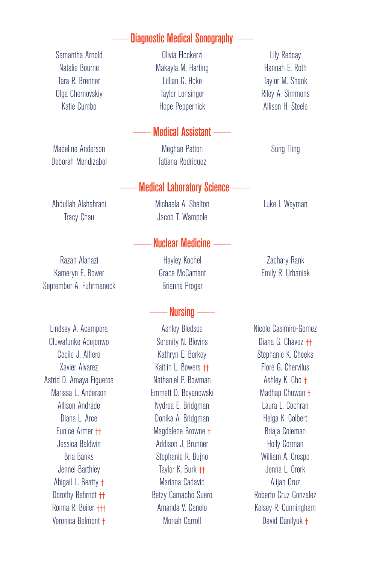## **Diagnostic Medical Sonography**

Samantha Arnold Natalie Bourne Tara R. Brenner Olga Chernovskiy Katie Cumbo

Madeline Anderson Deborah Mendizabol

Abdullah Alshahrani Tracy Chau

Razan Alanazi Kameryn E. Bower September A. Fuhrmaneck

Lindsay A. Acampora Oluwafunke Adejonwo Cecile J. Alfiero Xavier Alvarez Astrid D. Amaya Figueroa Marissa L. Anderson Allison Andrade Diana L. Arce Eunice Armer †† Jessica Baldwin Bria Banks Jennel Barthley Abigail L. Beatty † Dorothy Behrndt †† Ronna R. Beiler ††† Veronica Belmont †

Olivia Flockerzi Makayla M. Harting Lillian G. Hoke Taylor Lonsinger Hope Peppernick

#### - Medical Assistant

Meghan Patton Tatiana Rodriquez

#### **Medical Laboratory Science**

Michaela A. Shelton Jacob T. Wampole

#### --Nuclear Medicine

Hayley Kochel Grace McCamant Brianna Progar

### $-$  Nursing  $-$

Ashley Bledsoe Serenity N. Blevins Kathryn E. Borkey Kaitlin L. Bowers †† Nathaniel P. Bowman Emmett D. Boyanowski Nydrea E. Bridgman Donika A. Bridgman Magdalene Browne † Addison J. Brunner Stephanie R. Bujno Taylor K. Burk †† Mariana Cadavid Betzy Camacho Suero Amanda V. Canelo Moriah Carroll

Lily Redcay Hannah E. Roth Taylor M. Shank Riley A. Simmons Allison H. Steele

Sung Tling

Luke I. Wayman

Zachary Rank Emily R. Urbaniak

Nicole Casimiro-Gomez Diana G. Chavez <sup>++</sup> Stephanie K. Cheeks Flore G. Chervilus Ashley K. Cho † Madhap Chuwan † Laura L. Cochran Helga K. Colbert Briaja Coleman Holly Corman William A. Crespo Jenna L. Crork Alijah Cruz Roberto Cruz Gonzalez Kelsey R. Cunningham David Danilyuk †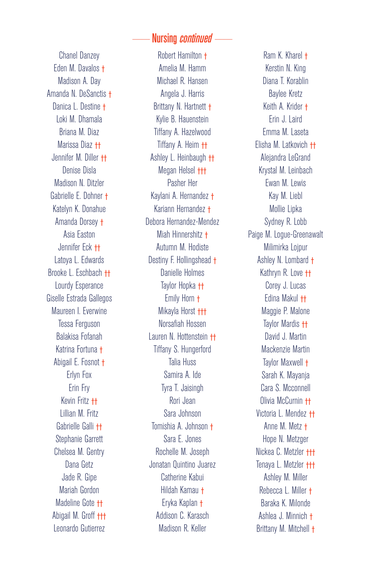#### Nursing *continued*

Chanel Danzey Eden M. Davalos † Madison A. Day Amanda N. DeSanctis † Danica L. Destine † Loki M. Dhamala Briana M. Diaz Marissa Diaz †† Jennifer M. Diller †† Denise Disla Madison N. Ditzler Gabrielle E. Dohner † Katelyn K. Donahue Amanda Dorsey † Asia Easton Jennifer Eck †† Latoya L. Edwards Brooke L. Eschbach †† Lourdy Esperance Giselle Estrada Gallegos Maureen I. Everwine Tessa Ferguson Balakisa Fofanah Katrina Fortuna † Abigail E. Fosnot † Erlyn Fox Erin Fry Kevin Fritz †† Lillian M. Fritz Gabrielle Galli †† Stephanie Garrett Chelsea M. Gentry Dana Getz Jade R. Gipe Mariah Gordon Madeline Gote †† Abigail M. Groff ††† Leonardo Gutierrez

Robert Hamilton † Amelia M. Hamm Michael R. Hansen Angela J. Harris Brittany N. Hartnett † Kylie B. Hauenstein Tiffany A. Hazelwood Tiffany A. Heim †† Ashley L. Heinbaugh †† Megan Helsel ††† Pasher Her Kaylani A. Hernandez † Kariann Hernandez † Debora Hernandez-Mendez Miah Hinnershitz † Autumn M. Hodiste Destiny F. Hollingshead † Danielle Holmes Taylor Hopka †† Emily Horn † Mikayla Horst ††† Norsafiah Hossen Lauren N. Hottenstein †† Tiffany S. Hungerford Talia Huss Samira A. Ide Tyra T. Jaisingh Rori Jean Sara Johnson Tomishia A. Johnson † Sara E. Jones Rochelle M. Joseph Jonatan Quintino Juarez Catherine Kabui Hildah Kamau † Eryka Kaplan † Addison C. Karasch Madison R. Keller

Ram K. Kharel † Kerstin N. King Diana T. Korablin Baylee Kretz Keith A. Krider † Erin J. Laird Emma M. Laseta Elisha M. Latkovich †† Alejandra LeGrand Krystal M. Leinbach Ewan M. Lewis Kay M. Liebl Mollie Lipka Sydney R. Lobb Paige M. Logue-Greenawalt Milimirka Lojpur Ashley N. Lombard † Kathryn R. Love †† Corey J. Lucas Edina Makul †† Maggie P. Malone Taylor Mardis †† David J. Martin Mackenzie Martin Taylor Maxwell † Sarah K. Mayanja Cara S. Mcconnell Olivia McCurnin †† Victoria L. Mendez †† Anne M. Metz † Hope N. Metzger Nickea C. Metzler ††† Tenaya L. Metzler ††† Ashley M. Miller Rebecca L. Miller † Baraka K. Milonde Ashlea J. Minnich † Brittany M. Mitchell †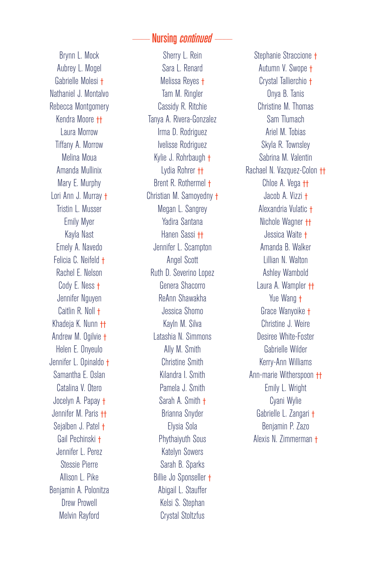#### Nursing *continued*

Brynn L. Mock Aubrey L. Mogel Gabrielle Molesi † Nathaniel J. Montalvo Rebecca Montgomery Kendra Moore †† Laura Morrow Tiffany A. Morrow Melina Moua Amanda Mullinix Mary E. Murphy Lori Ann J. Murray † Tristin L. Musser Emily Myer Kayla Nast Emely A. Navedo Felicia C. Neifeld † Rachel E. Nelson Cody E. Ness † Jennifer Nguyen Caitlin R. Noll † Khadeja K. Nunn †† Andrew M. Ogilvie † Helen E. Onyeulo Jennifer L. Opinaldo † Samantha E. Oslan Catalina V. Otero Jocelyn A. Papay † Jennifer M. Paris †† Sejalben J. Patel † Gail Pechinski † Jennifer L. Perez Stessie Pierre Allison L. Pike Benjamin A. Polonitza Drew Prowell Melvin Rayford

Sherry L. Rein Sara L. Renard Melissa Reyes † Tam M. Ringler Cassidy R. Ritchie Tanya A. Rivera-Gonzalez Irma D. Rodriguez Ivelisse Rodriguez Kylie J. Rohrbaugh † Lydia Rohrer †† Brent R. Rothermel † Christian M. Samoyedny † Megan L. Sangrey Yadira Santana Hanen Sassi †† Jennifer L. Scampton Angel Scott Ruth D. Severino Lopez Genera Shacorro ReAnn Shawakha Jessica Shomo Kayln M. Silva Latashia N. Simmons Ally M. Smith Christine Smith Kilandra I. Smith Pamela J. Smith Sarah A. Smith † Brianna Snyder Elysia Sola Phythaiyuth Sous Katelyn Sowers Sarah B. Sparks Billie Jo Sponseller † Abigail L. Stauffer Kelsi S. Stephan Crystal Stoltzfus

Stephanie Straccione † Autumn V. Swope † Crystal Tallierchio † Onya B. Tanis Christine M. Thomas Sam Tlumach Ariel M. Tobias Skyla R. Townsley Sabrina M. Valentin Rachael N. Vazquez-Colon †† Chloe A. Vega <sup>++</sup> Jacob A. Vizzi † Alexandria Vulatic † Nichole Wagner †† Jessica Waite † Amanda B. Walker Lillian N. Walton Ashley Wambold Laura A. Wampler †† Yue Wang † Grace Wanyoike † Christine J. Weire Desiree White-Foster Gabrielle Wilder Kerry-Ann Williams Ann-marie Witherspoon †† Emily L. Wright Cyani Wylie Gabrielle L. Zangari † Benjamin P. Zazo Alexis N. Zimmerman †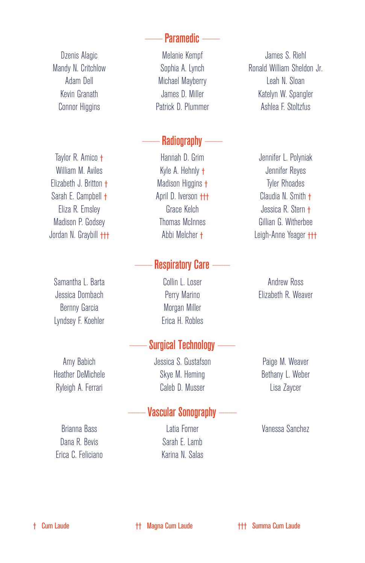- Paramedic -

Dzenis Alagic Mandy N. Critchlow Adam Dell Kevin Granath Connor Higgins

Taylor R. Amico † William M. Aviles Elizabeth J. Britton † Sarah E. Campbell † Eliza R. Emsley Madison P. Godsey Jordan N. Graybill †††

Samantha L. Barta Jessica Dombach Bernny Garcia Lyndsey F. Koehler

Amy Babich Heather DeMichele Ryleigh A. Ferrari

Brianna Bass Dana R. Bevis Erica C. Feliciano

Melanie Kempf Sophia A. Lynch Michael Mayberry James D. Miller Patrick D. Plummer

## $-$ Radiography  $-$

Hannah D. Grim Kyle A. Hehnly † Madison Higgins † April D. Iverson ††† Grace Kelch Thomas McInnes Abbi Melcher †

#### Respiratory Care -

Collin L. Loser Perry Marino Morgan Miller Erica H. Robles

## Surgical Technology -

Jessica S. Gustafson Skye M. Heming Caleb D. Musser

#### - Vascular Sonography -

Latia Forner Sarah E. Lamb Karina N. Salas

James S. Riehl Ronald William Sheldon Jr. Leah N. Sloan Katelyn W. Spangler Ashlea F. Stoltzfus

Jennifer L. Polyniak Jennifer Reyes Tyler Rhoades Claudia N. Smith † Jessica R. Stern † Gillian G. Witherbee Leigh-Anne Yeager †††

Andrew Ross Elizabeth R. Weaver

Paige M. Weaver Bethany L. Weber Lisa Zaycer

Vanessa Sanchez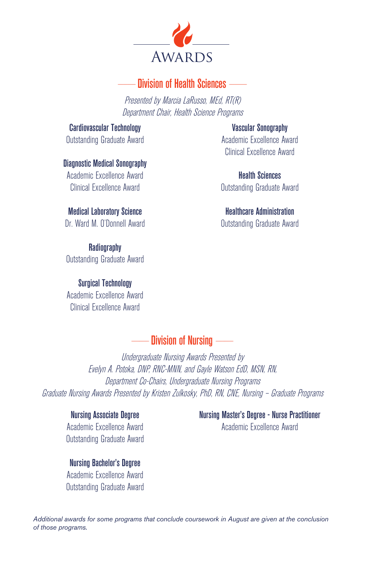

## ----------------- Division of Health Sciences -----------------

Presented by Marcia LaRusso, MEd, RT(R) Department Chair, Health Science Programs

Cardiovascular Technology Outstanding Graduate Award

Diagnostic Medical Sonography Academic Excellence Award Clinical Excellence Award

Medical Laboratory Science Dr. Ward M. O'Donnell Award

**Radiography** Outstanding Graduate Award

Surgical Technology Academic Excellence Award Clinical Excellence Award

Vascular Sonography Academic Excellence Award Clinical Excellence Award

Health Sciences Outstanding Graduate Award

Healthcare Administration Outstanding Graduate Award

- Division of Nursing -

Undergraduate Nursing Awards Presented by Evelyn A. Potoka, DNP, RNC-MNN, and Gayle Watson EdD, MSN, RN, Department Co-Chairs, Undergraduate Nursing Programs Graduate Nursing Awards Presented by Kristen Zulkosky, PhD, RN, CNE, Nursing – Graduate Programs

Nursing Associate Degree Academic Excellence Award Outstanding Graduate Award

Nursing Bachelor's Degree Academic Excellence Award Outstanding Graduate Award Nursing Master's Degree - Nurse Practitioner Academic Excellence Award

*Additional awards for some programs that conclude coursework in August are given at the conclusion*  of those programs.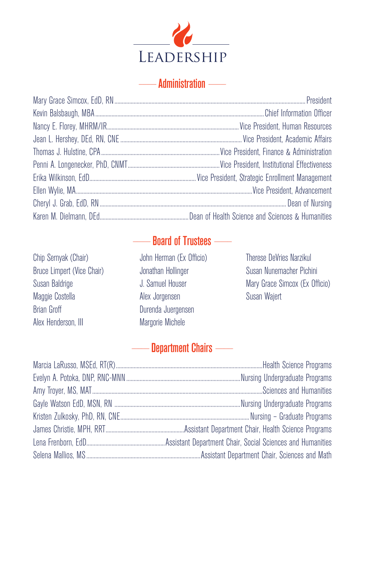

## ----------------- Administration -----------------

## Board of Trustees -

Chip Sernyak (Chair) Bruce Limpert (Vice Chair) Susan Baldrige Maggie Costella Brian Groff Alex Henderson, III

John Herman (Ex Officio) Jonathan Hollinger J. Samuel Houser Alex Jorgensen Durenda Juergensen Margorie Michele

Therese DeVries Narzikul Susan Nunemacher Pichini Mary Grace Simcox (Ex Officio) Susan Wajert

## Department Chairs -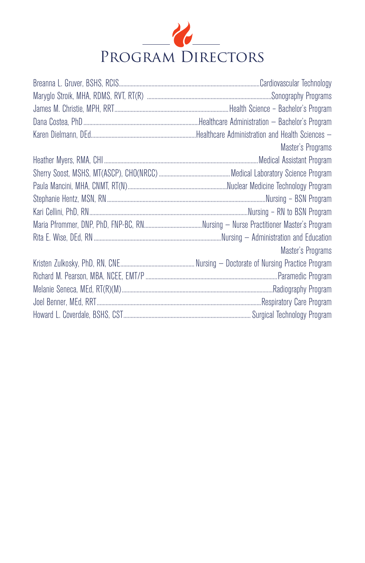

| Master's Programs |
|-------------------|
|                   |
|                   |
|                   |
|                   |
|                   |
|                   |
|                   |
| Master's Programs |
|                   |
|                   |
|                   |
|                   |
|                   |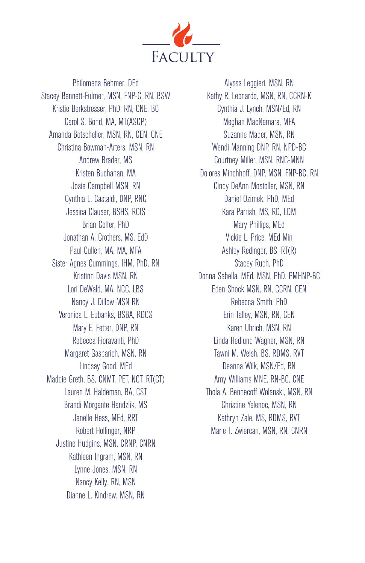

Philomena Behmer, DEd Stacey Bennett-Fulmer, MSN, FNP-C, RN, BSW Kristie Berkstresser, PhD, RN, CNE, BC Carol S. Bond, MA, MT(ASCP) Amanda Botscheller, MSN, RN, CEN, CNE Christina Bowman-Arters, MSN, RN Andrew Brader, MS Kristen Buchanan, MA Josie Campbell MSN, RN Cynthia L. Castaldi, DNP, RNC Jessica Clauser, BSHS, RCIS Brian Colfer, PhD Jonathan A. Crothers, MS, EdD Paul Cullen, MA, MA, MFA Sister Agnes Cummings, IHM, PhD, RN Kristinn Davis MSN, RN Lori DeWald, MA, NCC, LBS Nancy J. Dillow MSN RN Veronica L. Eubanks, BSBA, RDCS Mary E. Fetter, DNP, RN Rebecca Fioravanti, PhD Margaret Gasparich, MSN, RN Lindsay Good, MEd Maddie Greth, BS, CNMT, PET, NCT, RT(CT) Lauren M. Haldeman, BA, CST Brandi Morgante Handzlik, MS Janelle Hess, MEd, RRT Robert Hollinger, NRP Justine Hudgins, MSN, CRNP, CNRN Kathleen Ingram, MSN, RN Lynne Jones, MSN, RN Nancy Kelly, RN, MSN Dianne L. Kindrew, MSN, RN

Alyssa Leggieri, MSN, RN Kathy R. Leonardo, MSN, RN, CCRN-K Cynthia J. Lynch, MSN/Ed, RN Meghan MacNamara, MFA Suzanne Mader, MSN, RN Wendi Manning DNP, RN, NPD-BC Courtney Miller, MSN, RNC-MNN Dolores Minchhoff, DNP, MSN, FNP-BC, RN Cindy DeAnn Mostoller, MSN, RN Daniel Ozimek, PhD, MEd Kara Parrish, MS, RD, LDM Mary Phillips, MEd Vickie L. Price, MEd Min Ashley Redinger, BS, RT(R) Stacey Ruch, PhD Donna Sabella, MEd, MSN, PhD, PMHNP-BC Eden Shock MSN, RN, CCRN, CEN Rebecca Smith, PhD Erin Talley, MSN, RN, CEN Karen Uhrich, MSN, RN Linda Hedlund Wagner, MSN, RN Tawni M. Welsh, BS, RDMS, RVT Deanna Wilk, MSN/Ed, RN Amy Williams MNE, RN-BC, CNE Thola A. Bennecoff Wolanski, MSN, RN Christine Yelenoc, MSN, RN Kathryn Zale, MS, RDMS, RVT Marie T. Zwiercan, MSN, RN, CNRN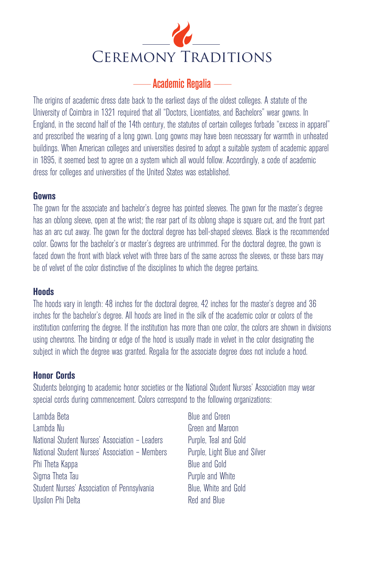

## -- Academic Regalia -----

The origins of academic dress date back to the earliest days of the oldest colleges. A statute of the University of Coimbra in 1321 required that all "Doctors, Licentiates, and Bachelors" wear gowns. In England, in the second half of the 14th century, the statutes of certain colleges forbade "excess in apparel" and prescribed the wearing of a long gown. Long gowns may have been necessary for warmth in unheated buildings. When American colleges and universities desired to adopt a suitable system of academic apparel in 1895, it seemed best to agree on a system which all would follow. Accordingly, a code of academic dress for colleges and universities of the United States was established.

#### **Gowns**

The gown for the associate and bachelor's degree has pointed sleeves. The gown for the master's degree has an oblong sleeve, open at the wrist; the rear part of its oblong shape is square cut, and the front part has an arc cut away. The gown for the doctoral degree has bell-shaped sleeves. Black is the recommended color. Gowns for the bachelor's or master's degrees are untrimmed. For the doctoral degree, the gown is faced down the front with black velvet with three bars of the same across the sleeves, or these bars may be of velvet of the color distinctive of the disciplines to which the degree pertains.

#### **Hoods**

The hoods vary in length: 48 inches for the doctoral degree, 42 inches for the master's degree and 36 inches for the bachelor's degree. All hoods are lined in the silk of the academic color or colors of the institution conferring the degree. If the institution has more than one color, the colors are shown in divisions using chevrons. The binding or edge of the hood is usually made in velvet in the color designating the subject in which the degree was granted. Regalia for the associate degree does not include a hood.

#### **Honor Cords**

Students belonging to academic honor societies or the National Student Nurses' Association may wear special cords during commencement. Colors correspond to the following organizations:

Lambda Beta Lambda Nu National Student Nurses' Association – Leaders National Student Nurses' Association – Members Phi Theta Kappa Sigma Theta Tau Student Nurses' Association of Pennsylvania Upsilon Phi Delta

Blue and Green Green and Maroon Purple, Teal and Gold Purple, Light Blue and Silver Blue and Gold Purple and White Blue, White and Gold Red and Blue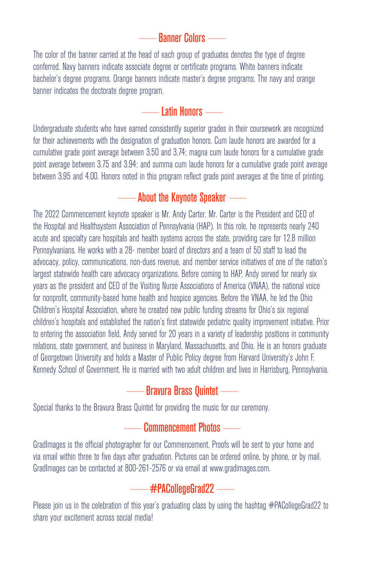## **Banner Colors ----**

The color of the banner carried at the head of each group of graduates denotes the type of degree conferred. Navy banners indicate associate degree or certificate programs. White banners indicate bachelor's degree programs. Orange banners indicate master's degree programs. The navy and orange banner indicates the doctorate degree program.

#### $-$  Latin Honors  $-$

Undergraduate students who have earned consistently superior grades in their coursework are recognized for their achievements with the designation of graduation honors. Cum laude honors are awarded for a cumulative grade point average between 3.50 and 3.74; magna cum laude honors for a cumulative grade point average between 3.75 and 3.94; and summa cum laude honors for a cumulative grade point average between 3.95 and 4.00. Honors noted in this program reflect grade point averages at the time of printing.

## $-$  About the Keynote Speaker  $-$

The 2022 Commencement keynote speaker is Mr. Andy Carter. Mr. Carter is the President and CEO of the Hospital and Healthsystem Association of Pennsylvania (HAP). In this role, he represents nearly 240 acute and specialty care hospitals and health systems across the state, providing care for 12.8 million Pennsylvanians. He works with a 28- member board of directors and a team of 50 staff to lead the advocacy, policy, communications, non-dues revenue, and member service initiatives of one of the nation's largest statewide health care advocacy organizations. Before coming to HAP, Andy served for nearly six years as the president and CEO of the Visiting Nurse Associations of America (VNAA), the national voice for nonprofit, community-based home health and hospice agencies. Before the VNAA, he led the Ohio Children's Hospital Association, where he created new public funding streams for Ohio's six regional children's hospitals and established the nation's first statewide pediatric quality improvement initiative. Prior to entering the association field, Andy served for 20 years in a variety of leadership positions in community relations, state government, and business in Maryland, Massachusetts, and Ohio. He is an honors graduate of Georgetown University and holds a Master of Public Policy degree from Harvard University's John F. Kennedy School of Government. He is married with two adult children and lives in Harrisburg, Pennsylvania.

## ----------------- Bravura Brass Quintet -----------------

Special thanks to the Bravura Brass Quintet for providing the music for our ceremony.

## **Commencement Photos --**

GradImages is the official photographer for our Commencement. Proofs will be sent to your home and via email within three to five days after graduation. Pictures can be ordered online, by phone, or by mail. GradImages can be contacted at 800-261-2576 or via email at www.gradimages.com.

## $-\frac{1}{2}$  #PACollegeGrad22  $-\frac{1}{2}$

Please join us in the celebration of this year's graduating class by using the hashtag #PACollegeGrad22 to share your excitement across social media!